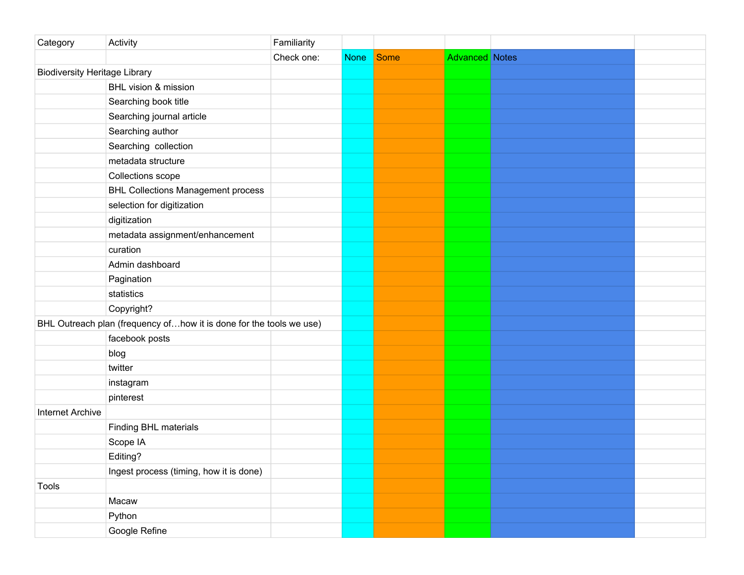| Category                             | Activity                                                            | Familiarity |             |             |                       |  |
|--------------------------------------|---------------------------------------------------------------------|-------------|-------------|-------------|-----------------------|--|
|                                      |                                                                     | Check one:  | <b>None</b> | <b>Some</b> | <b>Advanced Notes</b> |  |
| <b>Biodiversity Heritage Library</b> |                                                                     |             |             |             |                       |  |
|                                      | BHL vision & mission                                                |             |             |             |                       |  |
|                                      | Searching book title                                                |             |             |             |                       |  |
|                                      | Searching journal article                                           |             |             |             |                       |  |
|                                      | Searching author                                                    |             |             |             |                       |  |
|                                      | Searching collection                                                |             |             |             |                       |  |
|                                      | metadata structure                                                  |             |             |             |                       |  |
|                                      | Collections scope                                                   |             |             |             |                       |  |
|                                      | <b>BHL Collections Management process</b>                           |             |             |             |                       |  |
|                                      | selection for digitization                                          |             |             |             |                       |  |
|                                      | digitization                                                        |             |             |             |                       |  |
|                                      | metadata assignment/enhancement                                     |             |             |             |                       |  |
|                                      | curation                                                            |             |             |             |                       |  |
|                                      | Admin dashboard                                                     |             |             |             |                       |  |
|                                      | Pagination                                                          |             |             |             |                       |  |
|                                      | statistics                                                          |             |             |             |                       |  |
|                                      | Copyright?                                                          |             |             |             |                       |  |
|                                      | BHL Outreach plan (frequency ofhow it is done for the tools we use) |             |             |             |                       |  |
|                                      | facebook posts                                                      |             |             |             |                       |  |
|                                      | blog                                                                |             |             |             |                       |  |
|                                      | twitter                                                             |             |             |             |                       |  |
|                                      | instagram                                                           |             |             |             |                       |  |
|                                      | pinterest                                                           |             |             |             |                       |  |
| <b>Internet Archive</b>              |                                                                     |             |             |             |                       |  |
|                                      | Finding BHL materials                                               |             |             |             |                       |  |
|                                      | Scope IA                                                            |             |             |             |                       |  |
|                                      | Editing?                                                            |             |             |             |                       |  |
|                                      | Ingest process (timing, how it is done)                             |             |             |             |                       |  |
| Tools                                |                                                                     |             |             |             |                       |  |
|                                      | Macaw                                                               |             |             |             |                       |  |
|                                      | Python                                                              |             |             |             |                       |  |
|                                      | Google Refine                                                       |             |             |             |                       |  |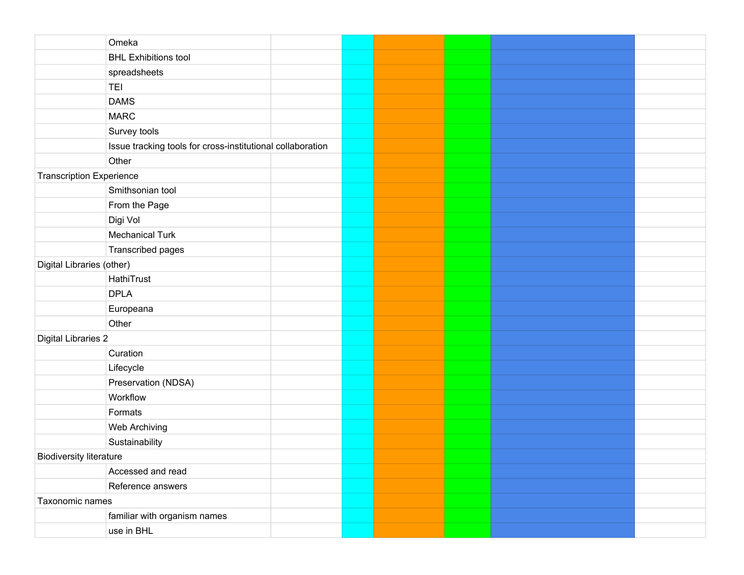|                                 | Omeka                                                      |  |  |  |
|---------------------------------|------------------------------------------------------------|--|--|--|
|                                 | <b>BHL Exhibitions tool</b>                                |  |  |  |
|                                 | spreadsheets                                               |  |  |  |
|                                 | <b>TEI</b>                                                 |  |  |  |
|                                 | <b>DAMS</b>                                                |  |  |  |
|                                 | <b>MARC</b>                                                |  |  |  |
|                                 | Survey tools                                               |  |  |  |
|                                 | Issue tracking tools for cross-institutional collaboration |  |  |  |
|                                 | Other                                                      |  |  |  |
| <b>Transcription Experience</b> |                                                            |  |  |  |
|                                 | Smithsonian tool                                           |  |  |  |
|                                 | From the Page                                              |  |  |  |
|                                 | Digi Vol                                                   |  |  |  |
|                                 | <b>Mechanical Turk</b>                                     |  |  |  |
|                                 | Transcribed pages                                          |  |  |  |
| Digital Libraries (other)       |                                                            |  |  |  |
|                                 | HathiTrust                                                 |  |  |  |
|                                 | <b>DPLA</b>                                                |  |  |  |
|                                 | Europeana                                                  |  |  |  |
|                                 | Other                                                      |  |  |  |
| <b>Digital Libraries 2</b>      |                                                            |  |  |  |
|                                 | Curation                                                   |  |  |  |
|                                 | Lifecycle                                                  |  |  |  |
|                                 | Preservation (NDSA)                                        |  |  |  |
|                                 | Workflow                                                   |  |  |  |
|                                 | Formats                                                    |  |  |  |
|                                 | Web Archiving                                              |  |  |  |
|                                 | Sustainability                                             |  |  |  |
| <b>Biodiversity literature</b>  |                                                            |  |  |  |
|                                 | Accessed and read                                          |  |  |  |
|                                 | Reference answers                                          |  |  |  |
| Taxonomic names                 |                                                            |  |  |  |
|                                 | familiar with organism names                               |  |  |  |
|                                 | use in BHL                                                 |  |  |  |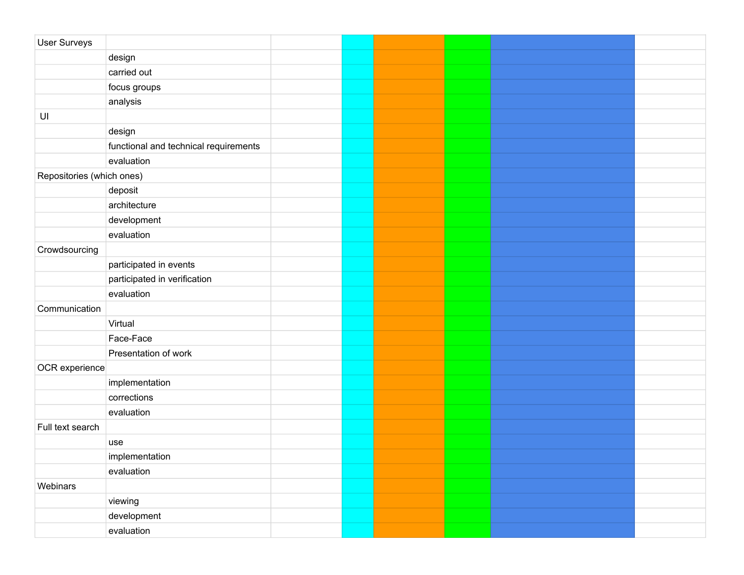| User Surveys              |                                       |  |  |  |
|---------------------------|---------------------------------------|--|--|--|
|                           | design                                |  |  |  |
|                           | carried out                           |  |  |  |
|                           | focus groups                          |  |  |  |
|                           | analysis                              |  |  |  |
| $\mathsf{U}\mathsf{I}$    |                                       |  |  |  |
|                           | design                                |  |  |  |
|                           | functional and technical requirements |  |  |  |
|                           | evaluation                            |  |  |  |
| Repositories (which ones) |                                       |  |  |  |
|                           | deposit                               |  |  |  |
|                           | architecture                          |  |  |  |
|                           | development                           |  |  |  |
|                           | evaluation                            |  |  |  |
| Crowdsourcing             |                                       |  |  |  |
|                           | participated in events                |  |  |  |
|                           | participated in verification          |  |  |  |
|                           | evaluation                            |  |  |  |
| Communication             |                                       |  |  |  |
|                           | Virtual                               |  |  |  |
|                           | Face-Face                             |  |  |  |
|                           | Presentation of work                  |  |  |  |
| OCR experience            |                                       |  |  |  |
|                           | implementation                        |  |  |  |
|                           | corrections                           |  |  |  |
|                           | evaluation                            |  |  |  |
| Full text search          |                                       |  |  |  |
|                           | use                                   |  |  |  |
|                           | implementation                        |  |  |  |
|                           | evaluation                            |  |  |  |
| Webinars                  |                                       |  |  |  |
|                           | viewing                               |  |  |  |
|                           | development                           |  |  |  |
|                           | evaluation                            |  |  |  |